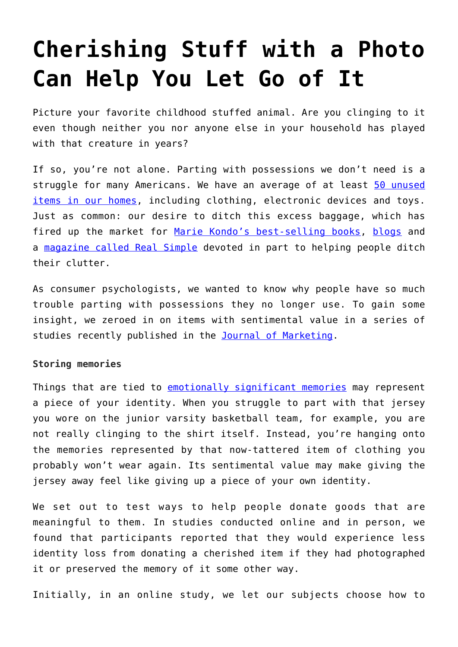# **[Cherishing Stuff with a Photo](https://intellectualtakeout.org/2017/07/cherishing-stuff-with-a-photo-can-help-you-let-go-of-it/) [Can Help You Let Go of It](https://intellectualtakeout.org/2017/07/cherishing-stuff-with-a-photo-can-help-you-let-go-of-it/)**

Picture your favorite childhood stuffed animal. Are you clinging to it even though neither you nor anyone else in your household has played with that creature in years?

If so, you're not alone. Parting with possessions we don't need is a struggle for many Americans. We have an average of at least [50 unused](http://www.businesswire.com/news/home/20070426005614/en/Average-U.S.-Household-50-Unused-Items-Worth) [items in our homes](http://www.businesswire.com/news/home/20070426005614/en/Average-U.S.-Household-50-Unused-Items-Worth), including clothing, electronic devices and toys. Just as common: our desire to ditch this excess baggage, which has fired up the market for [Marie Kondo's best-selling books,](https://www.nytimes.com/2016/07/10/magazine/marie-kondo-and-the-ruthless-war-on-stuff.html) [blogs](https://www.sparefoot.com/self-storage/blog/7525-decluttering-blogs-to-follow/) and a [magazine called Real Simple](https://www.realsimple.com/home-organizing/organizing/professional-organizers) devoted in part to helping people ditch their clutter.

As consumer psychologists, we wanted to know why people have so much trouble parting with possessions they no longer use. To gain some insight, we zeroed in on items with sentimental value in a series of studies recently published in the [Journal of Marketing.](https://doi.org/10.1509/jm.16.0311)

## **Storing memories**

Things that are tied to [emotionally significant memories](http://www.theminimalists.com/sentimental/) may represent a piece of your identity. When you struggle to part with that jersey you wore on the junior varsity basketball team, for example, you are not really clinging to the shirt itself. Instead, you're hanging onto the memories represented by that now-tattered item of clothing you probably won't wear again. Its sentimental value may make giving the jersey away feel like giving up a piece of your own identity.

We set out to test ways to help people donate goods that are meaningful to them. In studies conducted online and in person, we found that participants reported that they would experience less identity loss from donating a cherished item if they had photographed it or preserved the memory of it some other way.

Initially, in an online study, we let our subjects choose how to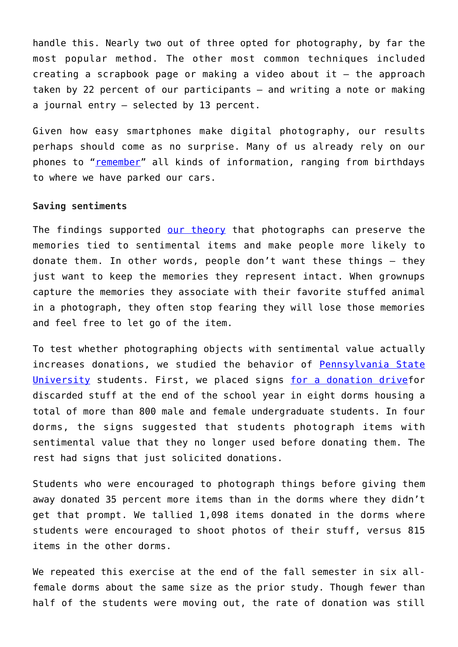handle this. Nearly two out of three opted for photography, by far the most popular method. The other most common techniques included creating a scrapbook page or making a video about it – the approach taken by 22 percent of our participants – and writing a note or making a journal entry – selected by 13 percent.

Given how easy smartphones make digital photography, our results perhaps should come as no surprise. Many of us already rely on our phones to "[remember"](http://fortune.com/2015/07/21/smartphone-memory/) all kinds of information, ranging from birthdays to where we have parked our cars.

#### **Saving sentiments**

The findings supported [our theory](https://doi.org/10.1509/jm.16.0311) that photographs can preserve the memories tied to sentimental items and make people more likely to donate them. In other words, people don't want these things – they just want to keep the memories they represent intact. When grownups capture the memories they associate with their favorite stuffed animal in a photograph, they often stop fearing they will lose those memories and feel free to let go of the item.

To test whether photographing objects with sentimental value actually increases donations, we studied the behavior of [Pennsylvania State](http://www.psu.edu/) [University](http://www.psu.edu/) students. First, we placed signs [for a donation drivef](http://sites.psu.edu/trash2treasure/)or discarded stuff at the end of the school year in eight dorms housing a total of more than 800 male and female undergraduate students. In four dorms, the signs suggested that students photograph items with sentimental value that they no longer used before donating them. The rest had signs that just solicited donations.

Students who were encouraged to photograph things before giving them away donated 35 percent more items than in the dorms where they didn't get that prompt. We tallied 1,098 items donated in the dorms where students were encouraged to shoot photos of their stuff, versus 815 items in the other dorms.

We repeated this exercise at the end of the fall semester in six allfemale dorms about the same size as the prior study. Though fewer than half of the students were moving out, the rate of donation was still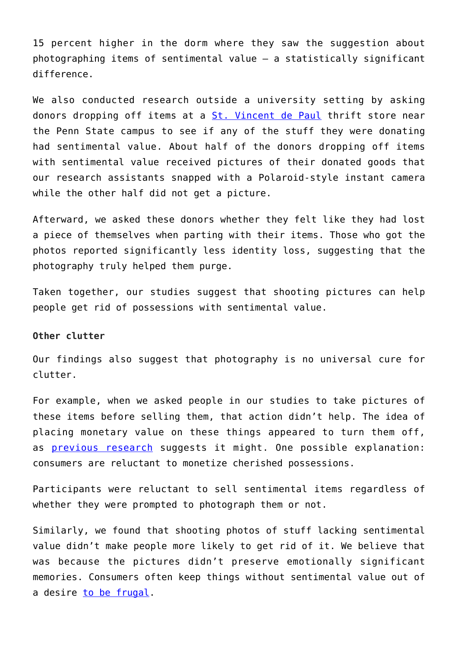15 percent higher in the dorm where they saw the suggestion about photographing items of sentimental value – a statistically significant difference.

We also conducted research outside a university setting by asking donors dropping off items at a [St. Vincent de Paul](https://www.svdpusa.org/) thrift store near the Penn State campus to see if any of the stuff they were donating had sentimental value. About half of the donors dropping off items with sentimental value received pictures of their donated goods that our research assistants snapped with a Polaroid-style instant camera while the other half did not get a picture.

Afterward, we asked these donors whether they felt like they had lost a piece of themselves when parting with their items. Those who got the photos reported significantly less identity loss, suggesting that the photography truly helped them purge.

Taken together, our studies suggest that shooting pictures can help people get rid of possessions with sentimental value.

### **Other clutter**

Our findings also suggest that photography is no universal cure for clutter.

For example, when we asked people in our studies to take pictures of these items before selling them, that action didn't help. The idea of placing monetary value on these things appeared to turn them off, as [previous research](http://www.sciencedirect.com/science/article/pii/S1057740805700875) suggests it might. One possible explanation: consumers are reluctant to monetize cherished possessions.

Participants were reluctant to sell sentimental items regardless of whether they were prompted to photograph them or not.

Similarly, we found that shooting photos of stuff lacking sentimental value didn't make people more likely to get rid of it. We believe that was because the pictures didn't preserve emotionally significant memories. Consumers often keep things without sentimental value out of a desire [to be frugal](https://doi.org/10.1016/j.jcps.2011.05.003).